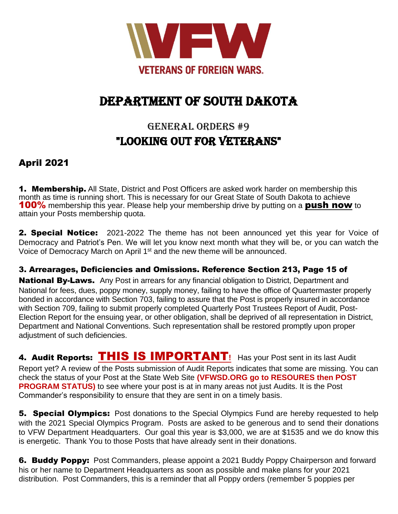

# DEPARTMENT OF SOUTH DAKOTA

# GENERAL ORDERS #9 "looking out for veterans"

### April 2021

**1. Membership.** All State, District and Post Officers are asked work harder on membership this month as time is running short. This is necessary for our Great State of South Dakota to achieve **100%** membership this year. Please help your membership drive by putting on a **push now** to attain your Posts membership quota.

**2. Special Notice:** 2021-2022 The theme has not been announced yet this year for Voice of Democracy and Patriot's Pen. We will let you know next month what they will be, or you can watch the Voice of Democracy March on April 1<sup>st</sup> and the new theme will be announced.

3. Arrearages, Deficiencies and Omissions. Reference Section 213, Page 15 of

National By-Laws.Any Post in arrears for any financial obligation to District, Department and National for fees, dues, poppy money, supply money, failing to have the office of Quartermaster properly bonded in accordance with Section 703, failing to assure that the Post is properly insured in accordance with Section 709, failing to submit properly completed Quarterly Post Trustees Report of Audit, Post-Election Report for the ensuing year, or other obligation, shall be deprived of all representation in District, Department and National Conventions. Such representation shall be restored promptly upon proper adjustment of such deficiencies.

4. Audit Reports: THIS IS IMPORTANT**!** Has your Post sent in its last Audit

Report yet? A review of the Posts submission of Audit Reports indicates that some are missing. You can check the status of your Post at the State Web Site **(VFWSD.ORG go to RESOURES then POST PROGRAM STATUS)** to see where your post is at in many areas not just Audits. It is the Post Commander's responsibility to ensure that they are sent in on a timely basis.

**5. Special Olympics:** Post donations to the Special Olympics Fund are hereby requested to help with the 2021 Special Olympics Program. Posts are asked to be generous and to send their donations to VFW Department Headquarters. Our goal this year is \$3,000, we are at \$1535 and we do know this is energetic. Thank You to those Posts that have already sent in their donations.

6. Buddy Poppy:Post Commanders, please appoint a 2021 Buddy Poppy Chairperson and forward his or her name to Department Headquarters as soon as possible and make plans for your 2021 distribution. Post Commanders, this is a reminder that all Poppy orders (remember 5 poppies per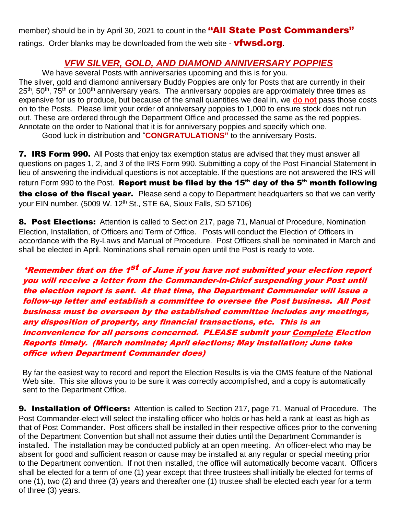member) should be in by April 30, 2021 to count in the "All State Post Commanders" ratings. Order blanks may be downloaded from the web site - **vfwsd.org**.

### *VFW SILVER, GOLD, AND DIAMOND ANNIVERSARY POPPIES*

We have several Posts with anniversaries upcoming and this is for you. The silver, gold and diamond anniversary Buddy Poppies are only for Posts that are currently in their  $25<sup>th</sup>$ ,  $50<sup>th</sup>$ ,  $75<sup>th</sup>$  or 100<sup>th</sup> anniversary years. The anniversary poppies are approximately three times as expensive for us to produce, but because of the small quantities we deal in, we **do not** pass those costs on to the Posts. Please limit your order of anniversary poppies to 1,000 to ensure stock does not run out. These are ordered through the Department Office and processed the same as the red poppies. Annotate on the order to National that it is for anniversary poppies and specify which one. Good luck in distribution and "**CONGRATULATIONS"** to the anniversary Posts.

7. IRS Form 990. All Posts that enjoy tax exemption status are advised that they must answer all questions on pages 1, 2, and 3 of the IRS Form 990. Submitting a copy of the Post Financial Statement in lieu of answering the individual questions is not acceptable. If the questions are not answered the IRS will return Form 990 to the Post. Report must be filed by the 15<sup>th</sup> day of the 5<sup>th</sup> month following the close of the fiscal year. Please send a copy to Department headquarters so that we can verify your EIN number. (5009 W. 12<sup>th</sup> St., STE 6A, Sioux Falls, SD 57106)

8. Post Elections: Attention is called to Section 217, page 71, Manual of Procedure, Nomination Election, Installation, of Officers and Term of Office. Posts will conduct the Election of Officers in accordance with the By-Laws and Manual of Procedure. Post Officers shall be nominated in March and shall be elected in April. Nominations shall remain open until the Post is ready to vote.

\*Remember that on the 1<sup>st</sup> of June if you have not submitted your election report you will receive <sup>a</sup> letter from the Commander-in-Chief suspending your Post until the election report is sent. At that time, the Department Commander will issue a follow-up letter and establish a committee to oversee the Post business. All Post business must be overseen by the established committee includes any meetings, any disposition of property, any financial transactions, etc. This is an inconvenience for all persons concerned. PLEASE submit your Complete Election Reports timely. (March nominate; April elections; May installation; June take office when Department Commander does)

By far the easiest way to record and report the Election Results is via the OMS feature of the National Web site. This site allows you to be sure it was correctly accomplished, and a copy is automatically sent to the Department Office.

**9. Installation of Officers:** Attention is called to Section 217, page 71, Manual of Procedure. The Post Commander-elect will select the installing officer who holds or has held a rank at least as high as that of Post Commander. Post officers shall be installed in their respective offices prior to the convening of the Department Convention but shall not assume their duties until the Department Commander is installed. The installation may be conducted publicly at an open meeting. An officer-elect who may be absent for good and sufficient reason or cause may be installed at any regular or special meeting prior to the Department convention. If not then installed, the office will automatically become vacant. Officers shall be elected for a term of one (1) year except that three trustees shall initially be elected for terms of one (1), two (2) and three (3) years and thereafter one (1) trustee shall be elected each year for a term of three (3) years.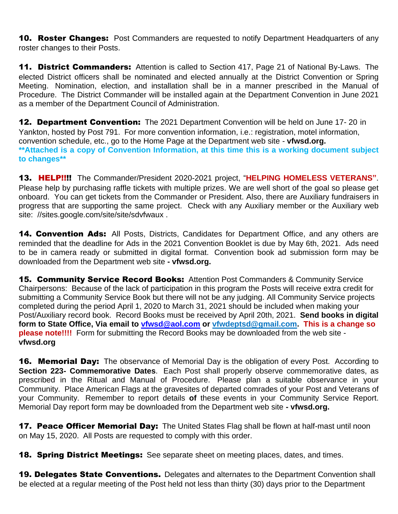**10. Roster Changes:** Post Commanders are requested to notify Department Headquarters of any roster changes to their Posts.

**11. District Commanders:** Attention is called to Section 417, Page 21 of National By-Laws. The elected District officers shall be nominated and elected annually at the District Convention or Spring Meeting. Nomination, election, and installation shall be in a manner prescribed in the Manual of Procedure. The District Commander will be installed again at the Department Convention in June 2021 as a member of the Department Council of Administration.

**12. Department Convention:** The 2021 Department Convention will be held on June 17-20 in Yankton, hosted by Post 791. For more convention information, i.e.: registration, motel information, convention schedule, etc., go to the Home Page at the Department web site - **vfwsd.org. \*\*Attached is a copy of Convention Information, at this time this is a working document subject to changes\*\***

13. HELP!!!! The Commander/President 2020-2021 project, "**HELPING HOMELESS VETERANS"**. Please help by purchasing raffle tickets with multiple prizes. We are well short of the goal so please get onboard. You can get tickets from the Commander or President. Also, there are Auxiliary fundraisers in progress that are supporting the same project. Check with any Auxiliary member or the Auxiliary web site: //sites.google.com/site/site/sdvfwaux .

14. Convention Ads: All Posts, Districts, Candidates for Department Office, and any others are reminded that the deadline for Ads in the 2021 Convention Booklet is due by May 6th, 2021. Ads need to be in camera ready or submitted in digital format. Convention book ad submission form may be downloaded from the Department web site **- vfwsd.org.**

**15. Community Service Record Books:** Attention Post Commanders & Community Service Chairpersons: Because of the lack of participation in this program the Posts will receive extra credit for submitting a Community Service Book but there will not be any judging. All Community Service projects completed during the period April 1, 2020 to March 31, 2021 should be included when making your Post/Auxiliary record book. Record Books must be received by April 20th, 2021. **Send books in digital form to State Office, Via email to [vfwsd@aol.com](mailto:vfwsd@aol.com) or vfwdeptsd@gmail.com. This is a change so please note!!!!** Form for submitting the Record Books may be downloaded from the web site **vfwsd.org**

**16. Memorial Day:** The observance of Memorial Day is the obligation of every Post. According to **Section 223- Commemorative Dates**. Each Post shall properly observe commemorative dates, as prescribed in the Ritual and Manual of Procedure. Please plan a suitable observance in your Community. Place American Flags at the gravesites of departed comrades of your Post and Veterans of your Community. Remember to report details **of** these events in your Community Service Report. Memorial Day report form may be downloaded from the Department web site **- vfwsd.org.**

17. Peace Officer Memorial Day: The United States Flag shall be flown at half-mast until noon on May 15, 2020. All Posts are requested to comply with this order.

**18. Spring District Meetings:** See separate sheet on meeting places, dates, and times.

**19. Delegates State Conventions.** Delegates and alternates to the Department Convention shall be elected at a regular meeting of the Post held not less than thirty (30) days prior to the Department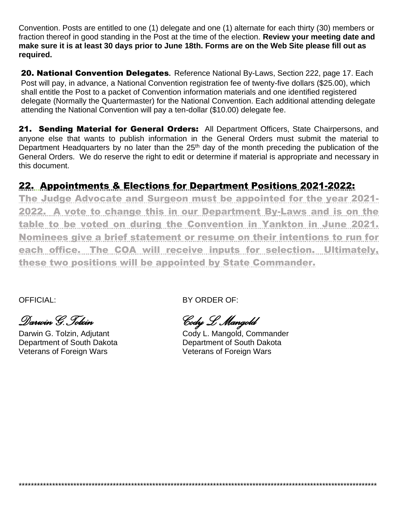Convention. Posts are entitled to one (1) delegate and one (1) alternate for each thirty (30) members or fraction thereof in good standing in the Post at the time of the election. **Review your meeting date and make sure it is at least 30 days prior to June 18th. Forms are on the Web Site please fill out as required.**

20. National Convention Delegates**.** Reference National By-Laws, Section 222, page 17. Each Post will pay, in advance, a National Convention registration fee of twenty-five dollars (\$25.00), which shall entitle the Post to a packet of Convention information materials and one identified registered delegate (Normally the Quartermaster) for the National Convention. Each additional attending delegate attending the National Convention will pay a ten-dollar (\$10.00) delegate fee.

21. Sending Material for General Orders:All Department Officers, State Chairpersons, and anyone else that wants to publish information in the General Orders must submit the material to Department Headquarters by no later than the  $25<sup>th</sup>$  day of the month preceding the publication of the General Orders. We do reserve the right to edit or determine if material is appropriate and necessary in this document.

## 22. Appointments & Elections for Department Positions 2021-2022:

The Judge Advocate and Surgeon must be appointed for the year 2021- 2022. A vote to change this in our Department By-Laws and is on the table to be voted on during the Convention in Yankton in June 2021. Nominees give a brief statement or resume on their intentions to run for each office. The COA will receive inputs for selection. Ultimately, these two positions will be appointed by State Commander.

*Darwin G.Tolzin Cody L Mangold*

Veterans of Foreign Wars **Veterans of Foreign Wars** 

OFFICIAL: BY ORDER OF:

\*\*\*\*\*\*\*\*\*\*\*\*\*\*\*\*\*\*\*\*\*\*\*\*\*\*\*\*\*\*\*\*\*\*\*\*\*\*\*\*\*\*\*\*\*\*\*\*\*\*\*\*\*\*\*\*\*\*\*\*\*\*\*\*\*\*\*\*\*\*\*\*\*\*\*\*\*\*\*\*\*\*\*\*\*\*\*\*\*\*\*\*\*\*\*\*\*\*\*\*\*\*\*\*\*\*\*\*\*\*\*\*\*\*\*\*\*\*

Cody L. Mangold, Commander Department of South Dakota **Department of South Dakota**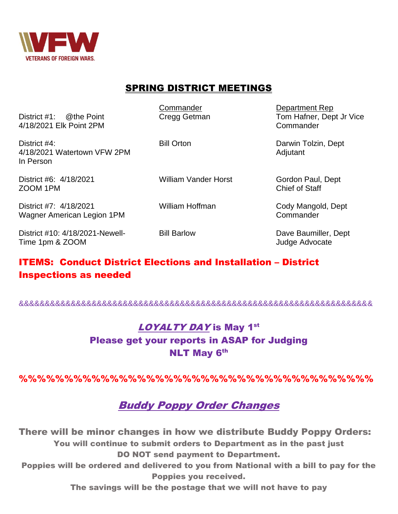

### SPRING DISTRICT MEETINGS

District #1: @the Point Cregg Getman Tom Hafner, Dept Jr Vice 4/18/2021 Elk Point 2PM Commander

Commander Department Rep

District #4: **Bill Orton District #4: Darwin Tolzin, Dept** 4/18/2021 Watertown VFW 2PM Adjutant Adjutant In Person

District #6: 4/18/2021 William Vander Horst Gordon Paul, Dept ZOOM 1PM Chief of Staff

District #7: 4/18/2021 William Hoffman Cody Mangold, Dept Wagner American Legion 1PM Commander

District #10: 4/18/2021-Newell- Bill Barlow Dave Baumiller, Dept Time 1pm & ZOOM and the state of the state of the state of the state of the state of the state of the state of the state of the state of the state of the state of the state of the state of the state of the state of the sta

### ITEMS: Conduct District Elections and Installation – District Inspections as needed

&&&&&&&&&&&&&&&&&&&&&&&&&&&&&&&&&&&&&&&&&&&&&&&&&&&&&&&&&&&&&&&&&&&&

## LOYALTY DAY is May 1st Please get your reports in ASAP for Judging **NLT May 6th**

%%%%%%%%%%%%%%%%%%%%%%%%%%%%%%%%%%%%%%%

## Buddy Poppy Order Changes

There will be minor changes in how we distribute Buddy Poppy Orders: You will continue to submit orders to Department as in the past just DO NOT send payment to Department. Poppies will be ordered and delivered to you from National with a bill to pay for the

Poppies you received.

The savings will be the postage that we will not have to pay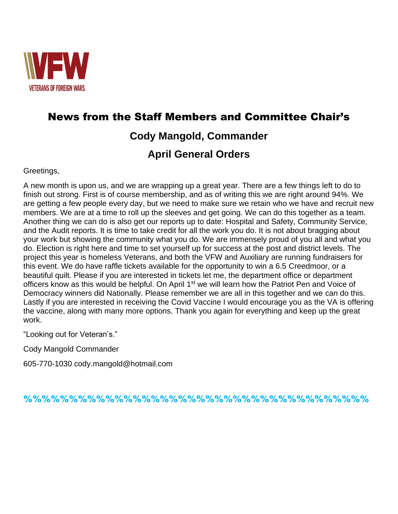

## News from the Staff Members and Committee Chair's

## **Cody Mangold, Commander**

## **April General Orders**

### Greetings,

A new month is upon us, and we are wrapping up a great year. There are a few things left to do to finish out strong. First is of course membership, and as of writing this we are right around 94%. We are getting a few people every day, but we need to make sure we retain who we have and recruit new members. We are at a time to roll up the sleeves and get going. We can do this together as a team. Another thing we can do is also get our reports up to date: Hospital and Safety, Community Service, and the Audit reports. It is time to take credit for all the work you do. It is not about bragging about your work but showing the community what you do. We are immensely proud of you all and what you do. Election is right here and time to set yourself up for success at the post and district levels. The project this year is homeless Veterans, and both the VFW and Auxiliary are running fundraisers for this event. We do have raffle tickets available for the opportunity to win a 6.5 Creedmoor, or a beautiful quilt. Please if you are interested in tickets let me, the department office or department officers know as this would be helpful. On April 1<sup>st</sup> we will learn how the Patriot Pen and Voice of Democracy winners did Nationally. Please remember we are all in this together and we can do this. Lastly if you are interested in receiving the Covid Vaccine I would encourage you as the VA is offering the vaccine, along with many more options. Thank you again for everything and keep up the great work.

"Looking out for Veteran's."

Cody Mangold Commander

605-770-1030 cody.mangold@hotmail.com

%%%%%%%%%%%%%%%%%%%%%%%%%%%%%%%%%%%%%%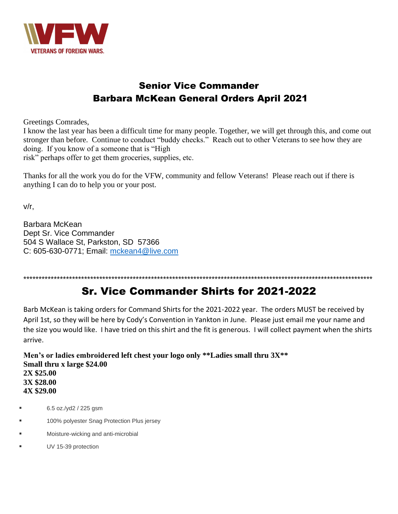

## Senior Vice Commander Barbara McKean General Orders April 2021

Greetings Comrades,

I know the last year has been a difficult time for many people. Together, we will get through this, and come out stronger than before. Continue to conduct "buddy checks." Reach out to other Veterans to see how they are doing. If you know of a someone that is "High

risk" perhaps offer to get them groceries, supplies, etc.

Thanks for all the work you do for the VFW, community and fellow Veterans! Please reach out if there is anything I can do to help you or your post.

v/r,

Barbara McKean Dept Sr. Vice Commander 504 S Wallace St, Parkston, SD 57366 C: 605-630-0771; Email: [mckean4@live.com](mailto:mckean4@live.com)

\*\*\*\*\*\*\*\*\*\*\*\*\*\*\*\*\*\*\*\*\*\*\*\*\*\*\*\*\*\*\*\*\*\*\*\*\*\*\*\*\*\*\*\*\*\*\*\*\*\*\*\*\*\*\*\*\*\*\*\*\*\*\*\*\*\*\*\*\*\*\*\*\*\*\*\*\*\*\*\*\*\*\*\*\*\*\*\*\*\*\*\*\*\*\*\*\*\*\*\*\*\*\*\*\*\*\*\*\*\*\*\*\*\*\*

## Sr. Vice Commander Shirts for 2021-2022

Barb McKean is taking orders for Command Shirts for the 2021-2022 year. The orders MUST be received by April 1st, so they will be here by Cody's Convention in Yankton in June. Please just email me your name and the size you would like. I have tried on this shirt and the fit is generous. I will collect payment when the shirts arrive.

**Men's or ladies embroidered left chest your logo only \*\*Ladies small thru 3X\*\* Small thru x large \$24.00 2X \$25.00 3X \$28.00 4X \$29.00**

- 6.5 oz./yd2 / 225 gsm
- 100% polyester Snag Protection Plus jersey
- Moisture-wicking and anti-microbial
- UV 15-39 protection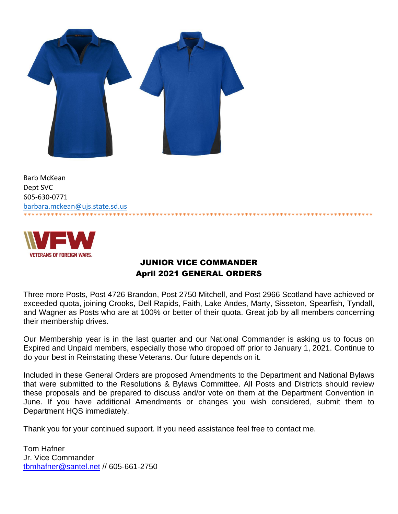

Barb McKean Dept SVC 605-630-0771 [barbara.mckean@ujs.state.sd.us](mailto:barbara.mckean@ujs.state.sd.us) \*\*\*\*\*\*\*\*\*\*\*\*\*\*\*\*\*\*\*\*\*\*\*\*\*\*\*\*\*\*\*\*\*\*\*\*\*\*\*\*\*\*\*\*\*\*\*\*\*\*\*\*\*\*\*\*\*\*\*\*\*\*\*\*\*\*\*\*\*\*\*\*\*\*\*\*\*\*\*\*\*\*\*\*\*\*\*\*\*\*



### JUNIOR VICE COMMANDER April 2021 GENERAL ORDERS

Three more Posts, Post 4726 Brandon, Post 2750 Mitchell, and Post 2966 Scotland have achieved or exceeded quota, joining Crooks, Dell Rapids, Faith, Lake Andes, Marty, Sisseton, Spearfish, Tyndall, and Wagner as Posts who are at 100% or better of their quota. Great job by all members concerning their membership drives.

Our Membership year is in the last quarter and our National Commander is asking us to focus on Expired and Unpaid members, especially those who dropped off prior to January 1, 2021. Continue to do your best in Reinstating these Veterans. Our future depends on it.

Included in these General Orders are proposed Amendments to the Department and National Bylaws that were submitted to the Resolutions & Bylaws Committee. All Posts and Districts should review these proposals and be prepared to discuss and/or vote on them at the Department Convention in June. If you have additional Amendments or changes you wish considered, submit them to Department HQS immediately.

Thank you for your continued support. If you need assistance feel free to contact me.

Tom Hafner Jr. Vice Commander [tbmhafner@santel.net](mailto:tbmhafner@santel.net) // 605-661-2750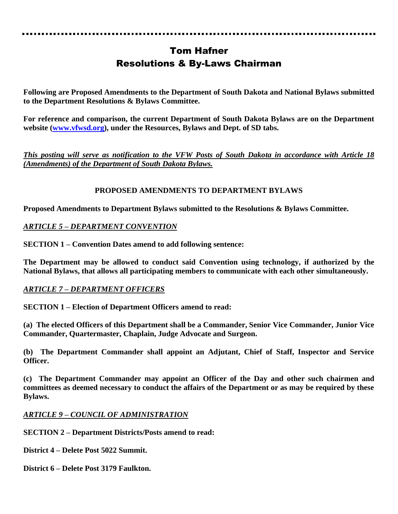## Tom Hafner Resolutions & By-Laws Chairman

**Following are Proposed Amendments to the Department of South Dakota and National Bylaws submitted to the Department Resolutions & Bylaws Committee.**

**For reference and comparison, the current Department of South Dakota Bylaws are on the Department website [\(www.vfwsd.org\)](http://www.vfwsd.org/), under the Resources, Bylaws and Dept. of SD tabs.** 

*This posting will serve as notification to the VFW Posts of South Dakota in accordance with Article 18 (Amendments) of the Department of South Dakota Bylaws.*

### **PROPOSED AMENDMENTS TO DEPARTMENT BYLAWS**

**Proposed Amendments to Department Bylaws submitted to the Resolutions & Bylaws Committee.**

### *ARTICLE 5 – DEPARTMENT CONVENTION*

**SECTION 1 – Convention Dates amend to add following sentence:**

**The Department may be allowed to conduct said Convention using technology, if authorized by the National Bylaws, that allows all participating members to communicate with each other simultaneously.**

### *ARTICLE 7 – DEPARTMENT OFFICERS*

**SECTION 1 – Election of Department Officers amend to read:**

**(a) The elected Officers of this Department shall be a Commander, Senior Vice Commander, Junior Vice Commander, Quartermaster, Chaplain, Judge Advocate and Surgeon.**

**(b) The Department Commander shall appoint an Adjutant, Chief of Staff, Inspector and Service Officer.** 

**(c) The Department Commander may appoint an Officer of the Day and other such chairmen and committees as deemed necessary to conduct the affairs of the Department or as may be required by these Bylaws.**

### *ARTICLE 9 – COUNCIL OF ADMINISTRATION*

**SECTION 2 – Department Districts/Posts amend to read:**

**District 4 – Delete Post 5022 Summit.**

**District 6 – Delete Post 3179 Faulkton.**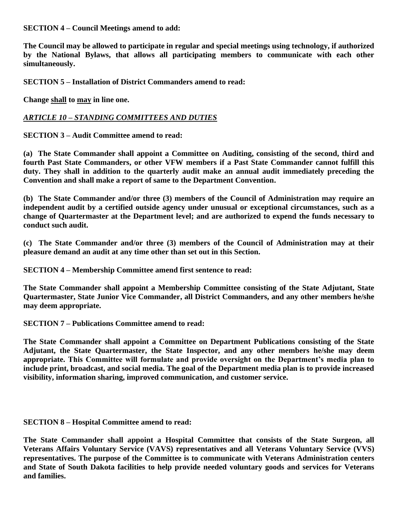**SECTION 4 – Council Meetings amend to add:**

**The Council may be allowed to participate in regular and special meetings using technology, if authorized by the National Bylaws, that allows all participating members to communicate with each other simultaneously.**

**SECTION 5 – Installation of District Commanders amend to read:**

**Change shall to may in line one.**

### *ARTICLE 10 – STANDING COMMITTEES AND DUTIES*

**SECTION 3 – Audit Committee amend to read:**

**(a) The State Commander shall appoint a Committee on Auditing, consisting of the second, third and fourth Past State Commanders, or other VFW members if a Past State Commander cannot fulfill this duty. They shall in addition to the quarterly audit make an annual audit immediately preceding the Convention and shall make a report of same to the Department Convention.**

**(b) The State Commander and/or three (3) members of the Council of Administration may require an independent audit by a certified outside agency under unusual or exceptional circumstances, such as a change of Quartermaster at the Department level; and are authorized to expend the funds necessary to conduct such audit.**

**(c) The State Commander and/or three (3) members of the Council of Administration may at their pleasure demand an audit at any time other than set out in this Section.**

**SECTION 4 – Membership Committee amend first sentence to read:**

**The State Commander shall appoint a Membership Committee consisting of the State Adjutant, State Quartermaster, State Junior Vice Commander, all District Commanders, and any other members he/she may deem appropriate.**

**SECTION 7 – Publications Committee amend to read:**

**The State Commander shall appoint a Committee on Department Publications consisting of the State Adjutant, the State Quartermaster, the State Inspector, and any other members he/she may deem appropriate. This Committee will formulate and provide oversight on the Department's media plan to include print, broadcast, and social media. The goal of the Department media plan is to provide increased visibility, information sharing, improved communication, and customer service.** 

**SECTION 8 – Hospital Committee amend to read:**

**The State Commander shall appoint a Hospital Committee that consists of the State Surgeon, all Veterans Affairs Voluntary Service (VAVS) representatives and all Veterans Voluntary Service (VVS) representatives. The purpose of the Committee is to communicate with Veterans Administration centers and State of South Dakota facilities to help provide needed voluntary goods and services for Veterans and families.**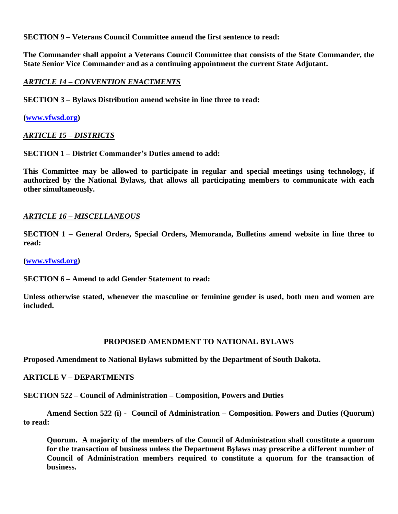**SECTION 9 – Veterans Council Committee amend the first sentence to read:**

**The Commander shall appoint a Veterans Council Committee that consists of the State Commander, the State Senior Vice Commander and as a continuing appointment the current State Adjutant.** 

### *ARTICLE 14 – CONVENTION ENACTMENTS*

**SECTION 3 – Bylaws Distribution amend website in line three to read:**

#### **[\(www.vfwsd.org\)](http://www.vfwsd.org/)**

#### *ARTICLE 15 – DISTRICTS*

**SECTION 1 – District Commander's Duties amend to add:**

**This Committee may be allowed to participate in regular and special meetings using technology, if authorized by the National Bylaws, that allows all participating members to communicate with each other simultaneously.**

#### *ARTICLE 16 – MISCELLANEOUS*

**SECTION 1 – General Orders, Special Orders, Memoranda, Bulletins amend website in line three to read:**

**[\(www.vfwsd.org\)](http://www.vfwsd.org/)** 

**SECTION 6 – Amend to add Gender Statement to read:**

**Unless otherwise stated, whenever the masculine or feminine gender is used, both men and women are included.** 

#### **PROPOSED AMENDMENT TO NATIONAL BYLAWS**

**Proposed Amendment to National Bylaws submitted by the Department of South Dakota.**

#### **ARTICLE V – DEPARTMENTS**

**SECTION 522 – Council of Administration – Composition, Powers and Duties** 

**Amend Section 522 (i) - Council of Administration – Composition. Powers and Duties (Quorum) to read:**

**Quorum. A majority of the members of the Council of Administration shall constitute a quorum for the transaction of business unless the Department Bylaws may prescribe a different number of Council of Administration members required to constitute a quorum for the transaction of business.**